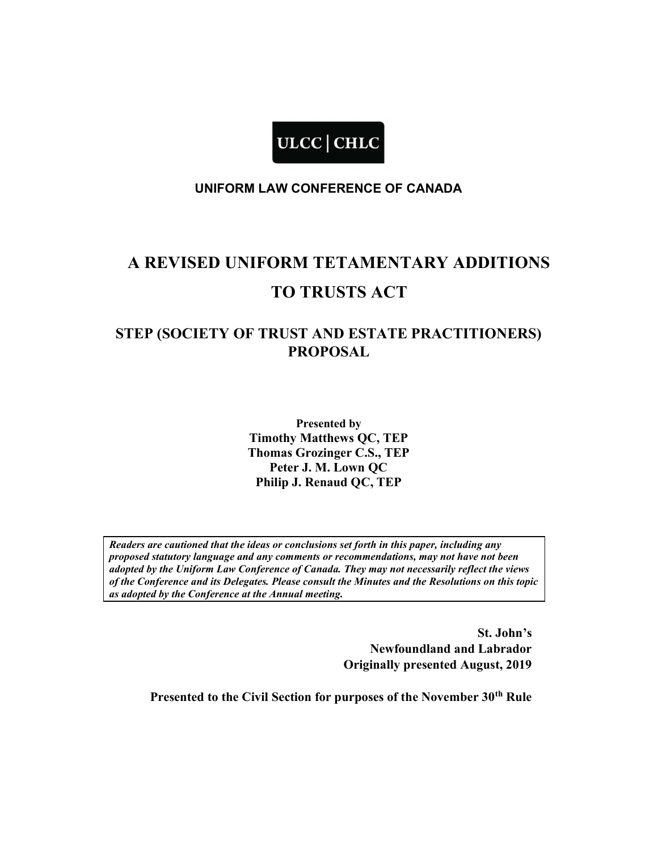

### UNIFORM LAW CONFERENCE OF CANADA

# A REVISED UNIFORM TETAMENTARY ADDITIONS TO TRUSTS ACT

# STEP (SOCIETY OF TRUST AND ESTATE PRACTITIONERS) PROPOSAL

Presented by Timothy Matthews QC, TEP Thomas Grozinger C.S., TEP Peter J. M. Lown QC Philip J. Renaud QC, TEP

Readers are cautioned that the ideas or conclusions set forth in this paper, including any proposed statutory language and any comments or recommendations, may not have not been adopted by the Uniform Law Conference of Canada. They may not necessarily reflect the views of the Conference and its Delegates. Please consult the Minutes and the Resolutions on this topic as adopted by the Conference at the Annual meeting.

> St. John's Newfoundland and Labrador Originally presented August, 2019

Presented to the Civil Section for purposes of the November 30<sup>th</sup> Rule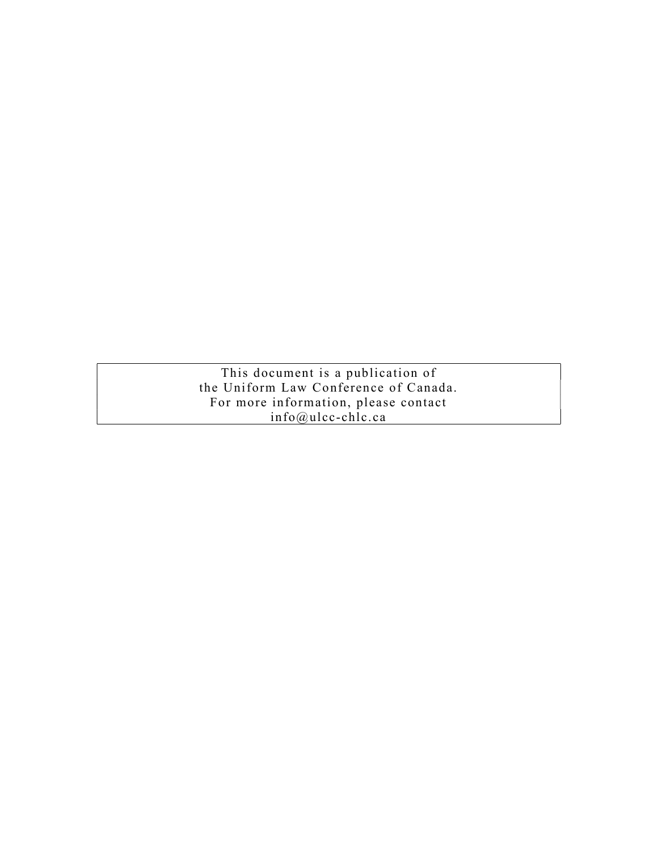This document is a publication of the Uniform Law Conference of Canada. For more information, please contact info@ulcc-chlc.ca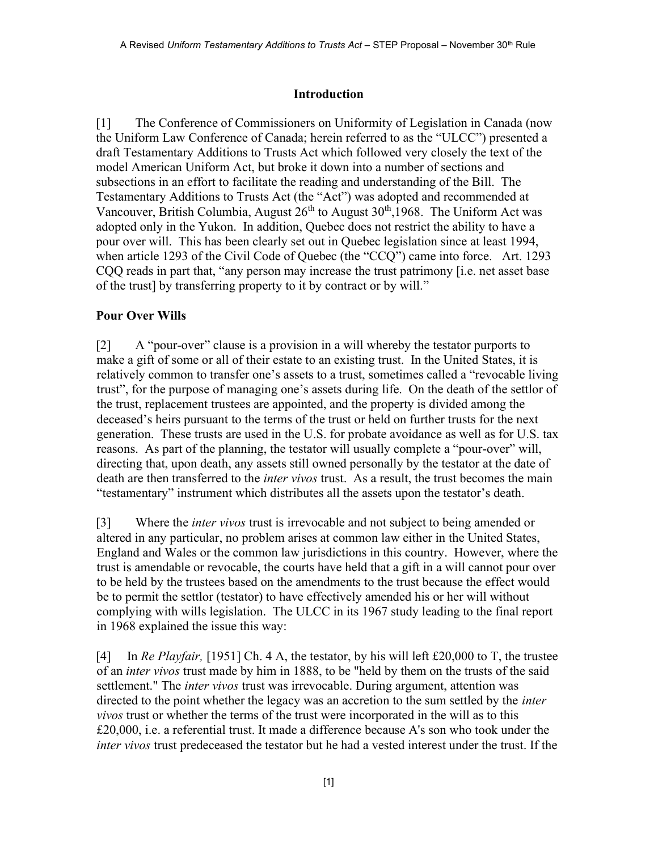# Introduction

[1] The Conference of Commissioners on Uniformity of Legislation in Canada (now the Uniform Law Conference of Canada; herein referred to as the "ULCC") presented a draft Testamentary Additions to Trusts Act which followed very closely the text of the model American Uniform Act, but broke it down into a number of sections and subsections in an effort to facilitate the reading and understanding of the Bill. The Testamentary Additions to Trusts Act (the "Act") was adopted and recommended at Vancouver, British Columbia, August  $26<sup>th</sup>$  to August  $30<sup>th</sup>$ , 1968. The Uniform Act was adopted only in the Yukon. In addition, Quebec does not restrict the ability to have a pour over will. This has been clearly set out in Quebec legislation since at least 1994, when article 1293 of the Civil Code of Quebec (the "CCQ") came into force. Art. 1293 CQQ reads in part that, "any person may increase the trust patrimony [i.e. net asset base of the trust] by transferring property to it by contract or by will."

# Pour Over Wills

[2] A "pour-over" clause is a provision in a will whereby the testator purports to make a gift of some or all of their estate to an existing trust. In the United States, it is relatively common to transfer one's assets to a trust, sometimes called a "revocable living trust", for the purpose of managing one's assets during life. On the death of the settlor of the trust, replacement trustees are appointed, and the property is divided among the deceased's heirs pursuant to the terms of the trust or held on further trusts for the next generation. These trusts are used in the U.S. for probate avoidance as well as for U.S. tax reasons. As part of the planning, the testator will usually complete a "pour-over" will, directing that, upon death, any assets still owned personally by the testator at the date of death are then transferred to the *inter vivos* trust. As a result, the trust becomes the main "testamentary" instrument which distributes all the assets upon the testator's death.

[3] Where the *inter vivos* trust is irrevocable and not subject to being amended or altered in any particular, no problem arises at common law either in the United States, England and Wales or the common law jurisdictions in this country. However, where the trust is amendable or revocable, the courts have held that a gift in a will cannot pour over to be held by the trustees based on the amendments to the trust because the effect would be to permit the settlor (testator) to have effectively amended his or her will without complying with wills legislation. The ULCC in its 1967 study leading to the final report in 1968 explained the issue this way:

[4] In Re Playfair, [1951] Ch. 4 A, the testator, by his will left £20,000 to T, the trustee of an *inter vivos* trust made by him in 1888, to be "held by them on the trusts of the said settlement." The *inter vivos* trust was irrevocable. During argument, attention was directed to the point whether the legacy was an accretion to the sum settled by the *inter* vivos trust or whether the terms of the trust were incorporated in the will as to this £20,000, i.e. a referential trust. It made a difference because A's son who took under the inter vivos trust predeceased the testator but he had a vested interest under the trust. If the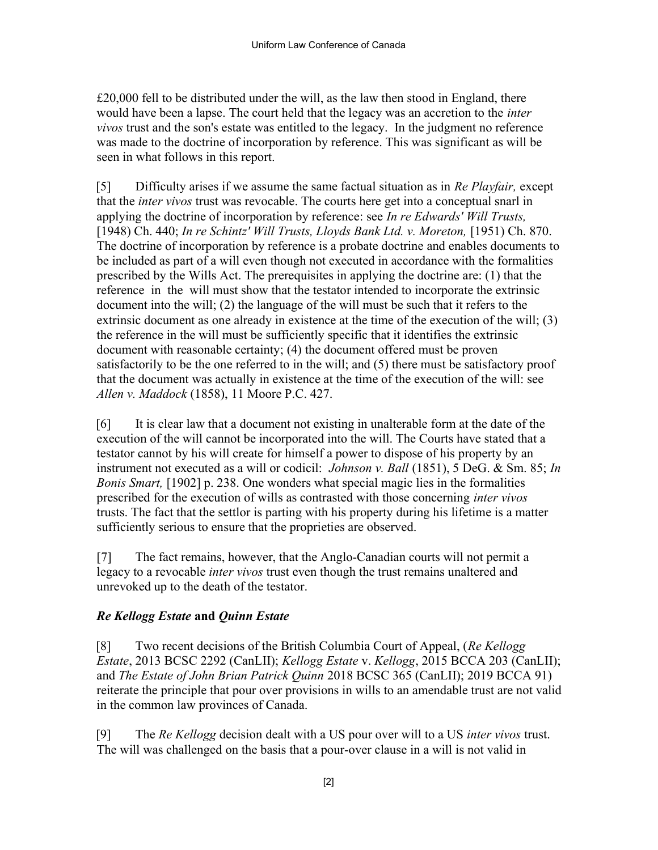$£20,000$  fell to be distributed under the will, as the law then stood in England, there would have been a lapse. The court held that the legacy was an accretion to the inter vivos trust and the son's estate was entitled to the legacy. In the judgment no reference was made to the doctrine of incorporation by reference. This was significant as will be seen in what follows in this report.

[5] Difficulty arises if we assume the same factual situation as in Re Playfair, except that the *inter vivos* trust was revocable. The courts here get into a conceptual snarl in applying the doctrine of incorporation by reference: see In re Edwards' Will Trusts, [1948) Ch. 440; In re Schintz' Will Trusts, Lloyds Bank Ltd. v. Moreton, [1951) Ch. 870. The doctrine of incorporation by reference is a probate doctrine and enables documents to be included as part of a will even though not executed in accordance with the formalities prescribed by the Wills Act. The prerequisites in applying the doctrine are: (1) that the reference in the will must show that the testator intended to incorporate the extrinsic document into the will; (2) the language of the will must be such that it refers to the extrinsic document as one already in existence at the time of the execution of the will; (3) the reference in the will must be sufficiently specific that it identifies the extrinsic document with reasonable certainty; (4) the document offered must be proven satisfactorily to be the one referred to in the will; and (5) there must be satisfactory proof that the document was actually in existence at the time of the execution of the will: see Allen v. Maddock (1858), 11 Moore P.C. 427.

[6] It is clear law that a document not existing in unalterable form at the date of the execution of the will cannot be incorporated into the will. The Courts have stated that a testator cannot by his will create for himself a power to dispose of his property by an instrument not executed as a will or codicil: *Johnson v. Ball* (1851), 5 DeG. & Sm. 85; In Bonis Smart, [1902] p. 238. One wonders what special magic lies in the formalities prescribed for the execution of wills as contrasted with those concerning inter vivos trusts. The fact that the settlor is parting with his property during his lifetime is a matter sufficiently serious to ensure that the proprieties are observed.

[7] The fact remains, however, that the Anglo-Canadian courts will not permit a legacy to a revocable *inter vivos* trust even though the trust remains unaltered and unrevoked up to the death of the testator.

# Re Kellogg Estate and Quinn Estate

[8] Two recent decisions of the British Columbia Court of Appeal, (Re Kellogg) Estate, 2013 BCSC 2292 (CanLII); Kellogg Estate v. Kellogg, 2015 BCCA 203 (CanLII); and The Estate of John Brian Patrick Quinn 2018 BCSC 365 (CanLII); 2019 BCCA 91) reiterate the principle that pour over provisions in wills to an amendable trust are not valid in the common law provinces of Canada.

[9] The Re Kellogg decision dealt with a US pour over will to a US *inter vivos* trust. The will was challenged on the basis that a pour-over clause in a will is not valid in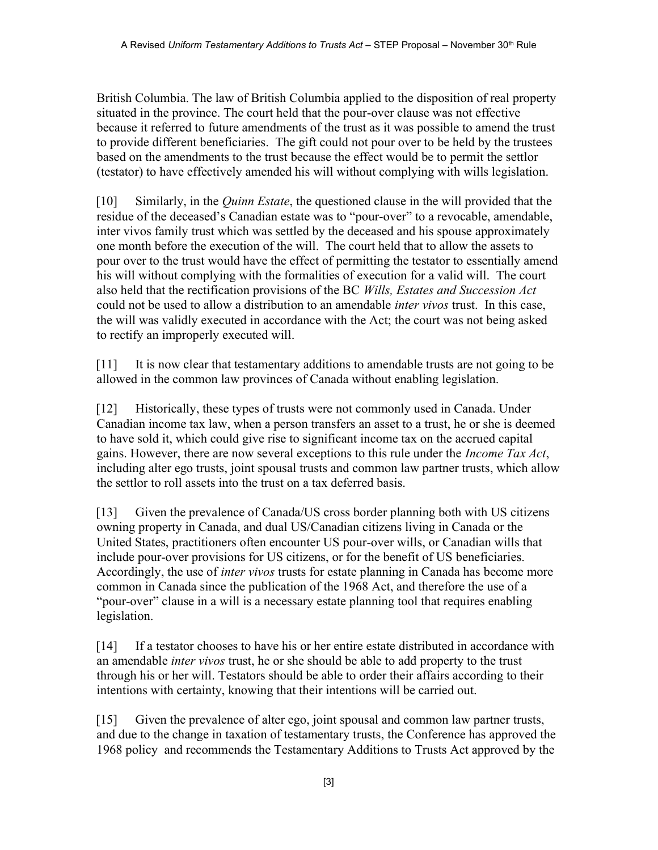British Columbia. The law of British Columbia applied to the disposition of real property situated in the province. The court held that the pour-over clause was not effective because it referred to future amendments of the trust as it was possible to amend the trust to provide different beneficiaries. The gift could not pour over to be held by the trustees based on the amendments to the trust because the effect would be to permit the settlor (testator) to have effectively amended his will without complying with wills legislation.

[10] Similarly, in the *Quinn Estate*, the questioned clause in the will provided that the residue of the deceased's Canadian estate was to "pour-over" to a revocable, amendable, inter vivos family trust which was settled by the deceased and his spouse approximately one month before the execution of the will. The court held that to allow the assets to pour over to the trust would have the effect of permitting the testator to essentially amend his will without complying with the formalities of execution for a valid will. The court also held that the rectification provisions of the BC Wills, Estates and Succession Act could not be used to allow a distribution to an amendable *inter vivos* trust. In this case, the will was validly executed in accordance with the Act; the court was not being asked to rectify an improperly executed will.

[11] It is now clear that testamentary additions to amendable trusts are not going to be allowed in the common law provinces of Canada without enabling legislation.

[12] Historically, these types of trusts were not commonly used in Canada. Under Canadian income tax law, when a person transfers an asset to a trust, he or she is deemed to have sold it, which could give rise to significant income tax on the accrued capital gains. However, there are now several exceptions to this rule under the *Income Tax Act*, including alter ego trusts, joint spousal trusts and common law partner trusts, which allow the settlor to roll assets into the trust on a tax deferred basis.

[13] Given the prevalence of Canada/US cross border planning both with US citizens owning property in Canada, and dual US/Canadian citizens living in Canada or the United States, practitioners often encounter US pour-over wills, or Canadian wills that include pour-over provisions for US citizens, or for the benefit of US beneficiaries. Accordingly, the use of *inter vivos* trusts for estate planning in Canada has become more common in Canada since the publication of the 1968 Act, and therefore the use of a "pour-over" clause in a will is a necessary estate planning tool that requires enabling legislation.

[14] If a testator chooses to have his or her entire estate distributed in accordance with an amendable inter vivos trust, he or she should be able to add property to the trust through his or her will. Testators should be able to order their affairs according to their intentions with certainty, knowing that their intentions will be carried out.

[15] Given the prevalence of alter ego, joint spousal and common law partner trusts, and due to the change in taxation of testamentary trusts, the Conference has approved the 1968 policy and recommends the Testamentary Additions to Trusts Act approved by the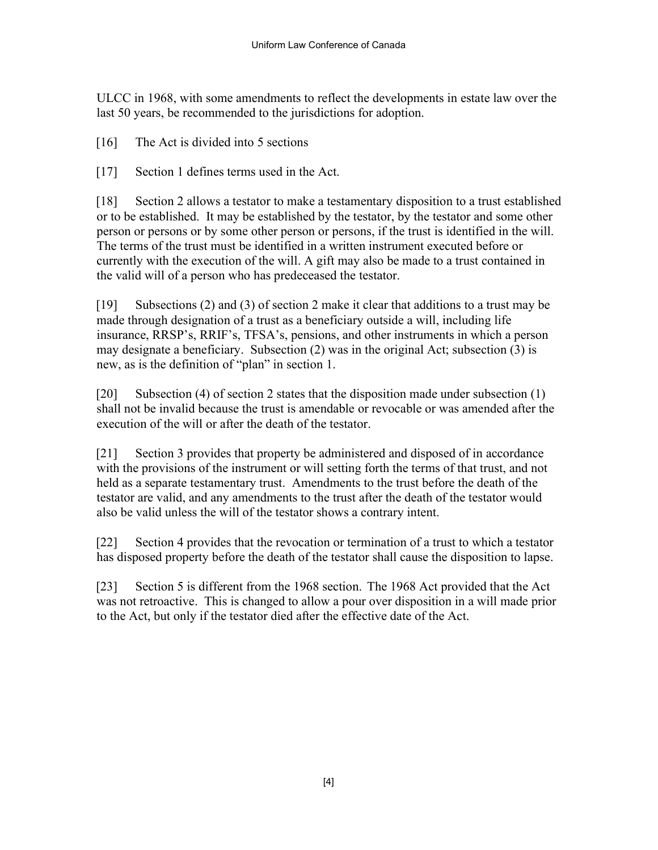ULCC in 1968, with some amendments to reflect the developments in estate law over the last 50 years, be recommended to the jurisdictions for adoption.

[16] The Act is divided into 5 sections

[17] Section 1 defines terms used in the Act.

[18] Section 2 allows a testator to make a testamentary disposition to a trust established or to be established. It may be established by the testator, by the testator and some other person or persons or by some other person or persons, if the trust is identified in the will. The terms of the trust must be identified in a written instrument executed before or currently with the execution of the will. A gift may also be made to a trust contained in the valid will of a person who has predeceased the testator.

[19] Subsections (2) and (3) of section 2 make it clear that additions to a trust may be made through designation of a trust as a beneficiary outside a will, including life insurance, RRSP's, RRIF's, TFSA's, pensions, and other instruments in which a person may designate a beneficiary. Subsection (2) was in the original Act; subsection (3) is new, as is the definition of "plan" in section 1.

[20] Subsection (4) of section 2 states that the disposition made under subsection (1) shall not be invalid because the trust is amendable or revocable or was amended after the execution of the will or after the death of the testator.

[21] Section 3 provides that property be administered and disposed of in accordance with the provisions of the instrument or will setting forth the terms of that trust, and not held as a separate testamentary trust. Amendments to the trust before the death of the testator are valid, and any amendments to the trust after the death of the testator would also be valid unless the will of the testator shows a contrary intent.

[22] Section 4 provides that the revocation or termination of a trust to which a testator has disposed property before the death of the testator shall cause the disposition to lapse.

[23] Section 5 is different from the 1968 section. The 1968 Act provided that the Act was not retroactive. This is changed to allow a pour over disposition in a will made prior to the Act, but only if the testator died after the effective date of the Act.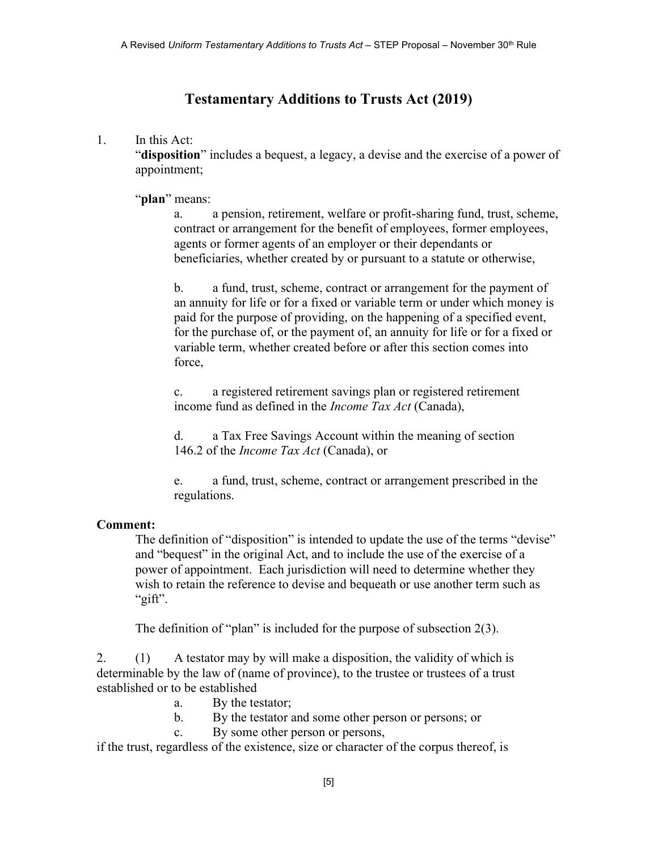# Testamentary Additions to Trusts Act (2019)

### 1. In this Act:

"disposition" includes a bequest, a legacy, a devise and the exercise of a power of appointment;

"plan" means:

a. a pension, retirement, welfare or profit-sharing fund, trust, scheme, contract or arrangement for the benefit of employees, former employees, agents or former agents of an employer or their dependants or beneficiaries, whether created by or pursuant to a statute or otherwise,

b. a fund, trust, scheme, contract or arrangement for the payment of an annuity for life or for a fixed or variable term or under which money is paid for the purpose of providing, on the happening of a specified event, for the purchase of, or the payment of, an annuity for life or for a fixed or variable term, whether created before or after this section comes into force,

c. a registered retirement savings plan or registered retirement income fund as defined in the Income Tax Act (Canada),

d. a Tax Free Savings Account within the meaning of section 146.2 of the *Income Tax Act* (Canada), or

e. a fund, trust, scheme, contract or arrangement prescribed in the regulations.

# Comment:

The definition of "disposition" is intended to update the use of the terms "devise" and "bequest" in the original Act, and to include the use of the exercise of a power of appointment. Each jurisdiction will need to determine whether they wish to retain the reference to devise and bequeath or use another term such as "gift".

The definition of "plan" is included for the purpose of subsection 2(3).

2. (1) A testator may by will make a disposition, the validity of which is determinable by the law of (name of province), to the trustee or trustees of a trust established or to be established

- a. By the testator;
- b. By the testator and some other person or persons; or
- c. By some other person or persons,

if the trust, regardless of the existence, size or character of the corpus thereof, is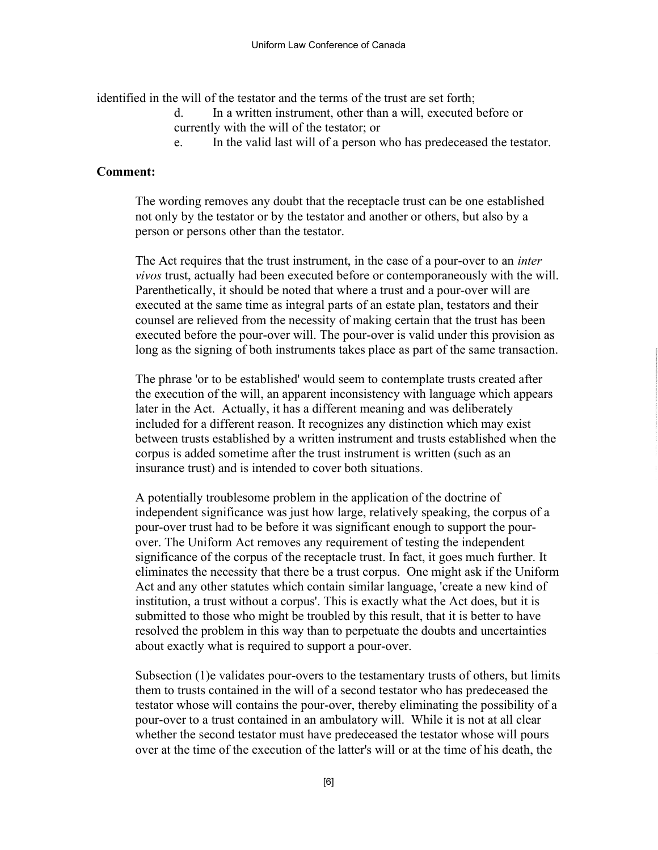identified in the will of the testator and the terms of the trust are set forth;

- d. In a written instrument, other than a will, executed before or currently with the will of the testator; or
- e. In the valid last will of a person who has predeceased the testator.

#### Comment:

The wording removes any doubt that the receptacle trust can be one established not only by the testator or by the testator and another or others, but also by a person or persons other than the testator.

The Act requires that the trust instrument, in the case of a pour-over to an *inter* vivos trust, actually had been executed before or contemporaneously with the will. Parenthetically, it should be noted that where a trust and a pour-over will are executed at the same time as integral parts of an estate plan, testators and their counsel are relieved from the necessity of making certain that the trust has been executed before the pour-over will. The pour-over is valid under this provision as long as the signing of both instruments takes place as part of the same transaction.

The phrase 'or to be established' would seem to contemplate trusts created after the execution of the will, an apparent inconsistency with language which appears later in the Act. Actually, it has a different meaning and was deliberately included for a different reason. It recognizes any distinction which may exist between trusts established by a written instrument and trusts established when the corpus is added sometime after the trust instrument is written (such as an insurance trust) and is intended to cover both situations.

A potentially troublesome problem in the application of the doctrine of independent significance was just how large, relatively speaking, the corpus of a pour-over trust had to be before it was significant enough to support the pourover. The Uniform Act removes any requirement of testing the independent significance of the corpus of the receptacle trust. In fact, it goes much further. It eliminates the necessity that there be a trust corpus. One might ask if the Uniform Act and any other statutes which contain similar language, 'create a new kind of institution, a trust without a corpus'. This is exactly what the Act does, but it is submitted to those who might be troubled by this result, that it is better to have resolved the problem in this way than to perpetuate the doubts and uncertainties about exactly what is required to support a pour-over.

Subsection (1)e validates pour-overs to the testamentary trusts of others, but limits them to trusts contained in the will of a second testator who has predeceased the testator whose will contains the pour-over, thereby eliminating the possibility of a pour-over to a trust contained in an ambulatory will. While it is not at all clear whether the second testator must have predeceased the testator whose will pours over at the time of the execution of the latter's will or at the time of his death, the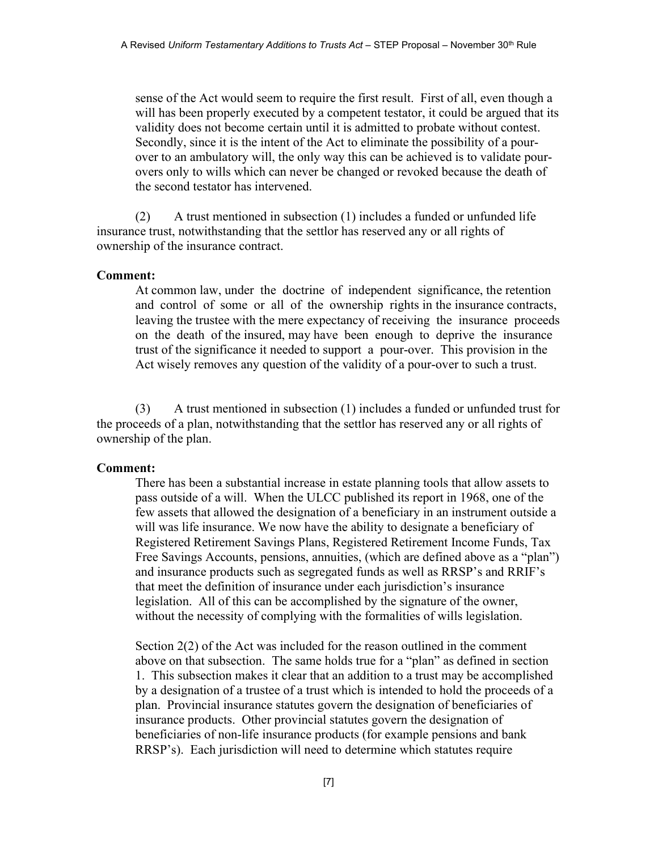sense of the Act would seem to require the first result. First of all, even though a will has been properly executed by a competent testator, it could be argued that its validity does not become certain until it is admitted to probate without contest. Secondly, since it is the intent of the Act to eliminate the possibility of a pourover to an ambulatory will, the only way this can be achieved is to validate pourovers only to wills which can never be changed or revoked because the death of the second testator has intervened.

(2) A trust mentioned in subsection (1) includes a funded or unfunded life insurance trust, notwithstanding that the settlor has reserved any or all rights of ownership of the insurance contract.

#### Comment:

At common law, under the doctrine of independent significance, the retention and control of some or all of the ownership rights in the insurance contracts, leaving the trustee with the mere expectancy of receiving the insurance proceeds on the death of the insured, may have been enough to deprive the insurance trust of the significance it needed to support a pour-over. This provision in the Act wisely removes any question of the validity of a pour-over to such a trust.

(3) A trust mentioned in subsection (1) includes a funded or unfunded trust for the proceeds of a plan, notwithstanding that the settlor has reserved any or all rights of ownership of the plan.

#### Comment:

There has been a substantial increase in estate planning tools that allow assets to pass outside of a will. When the ULCC published its report in 1968, one of the few assets that allowed the designation of a beneficiary in an instrument outside a will was life insurance. We now have the ability to designate a beneficiary of Registered Retirement Savings Plans, Registered Retirement Income Funds, Tax Free Savings Accounts, pensions, annuities, (which are defined above as a "plan") and insurance products such as segregated funds as well as RRSP's and RRIF's that meet the definition of insurance under each jurisdiction's insurance legislation. All of this can be accomplished by the signature of the owner, without the necessity of complying with the formalities of wills legislation.

Section 2(2) of the Act was included for the reason outlined in the comment above on that subsection. The same holds true for a "plan" as defined in section 1. This subsection makes it clear that an addition to a trust may be accomplished by a designation of a trustee of a trust which is intended to hold the proceeds of a plan. Provincial insurance statutes govern the designation of beneficiaries of insurance products. Other provincial statutes govern the designation of beneficiaries of non-life insurance products (for example pensions and bank RRSP's). Each jurisdiction will need to determine which statutes require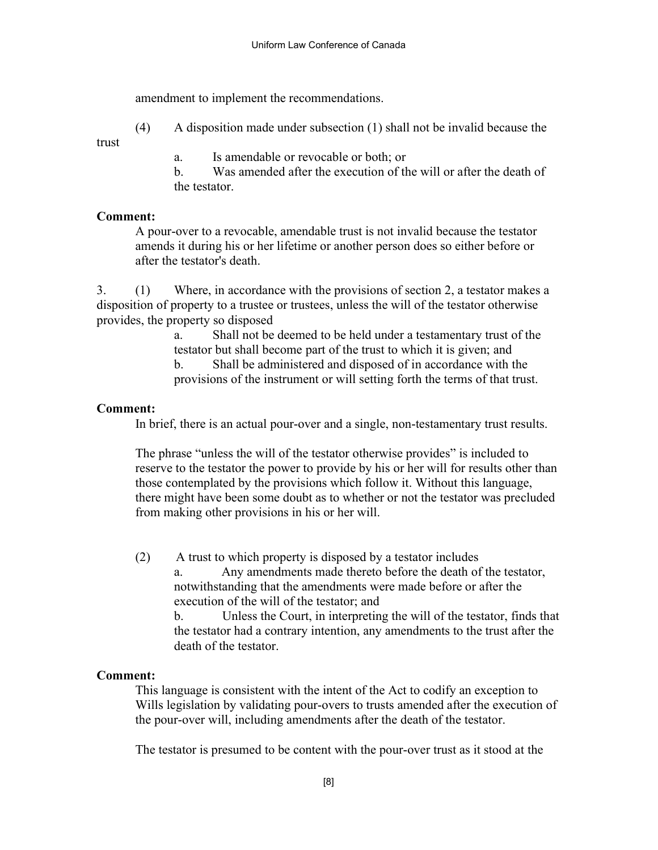amendment to implement the recommendations.

(4) A disposition made under subsection (1) shall not be invalid because the

trust

a. Is amendable or revocable or both; or

b. Was amended after the execution of the will or after the death of the testator.

# Comment:

A pour-over to a revocable, amendable trust is not invalid because the testator amends it during his or her lifetime or another person does so either before or after the testator's death.

3. (1) Where, in accordance with the provisions of section 2, a testator makes a disposition of property to a trustee or trustees, unless the will of the testator otherwise provides, the property so disposed

a. Shall not be deemed to be held under a testamentary trust of the testator but shall become part of the trust to which it is given; and

b. Shall be administered and disposed of in accordance with the provisions of the instrument or will setting forth the terms of that trust.

# Comment:

In brief, there is an actual pour-over and a single, non-testamentary trust results.

The phrase "unless the will of the testator otherwise provides" is included to reserve to the testator the power to provide by his or her will for results other than those contemplated by the provisions which follow it. Without this language, there might have been some doubt as to whether or not the testator was precluded from making other provisions in his or her will.

(2) A trust to which property is disposed by a testator includes

a. Any amendments made thereto before the death of the testator, notwithstanding that the amendments were made before or after the execution of the will of the testator; and

b. Unless the Court, in interpreting the will of the testator, finds that the testator had a contrary intention, any amendments to the trust after the death of the testator.

# Comment:

This language is consistent with the intent of the Act to codify an exception to Wills legislation by validating pour-overs to trusts amended after the execution of the pour-over will, including amendments after the death of the testator.

The testator is presumed to be content with the pour-over trust as it stood at the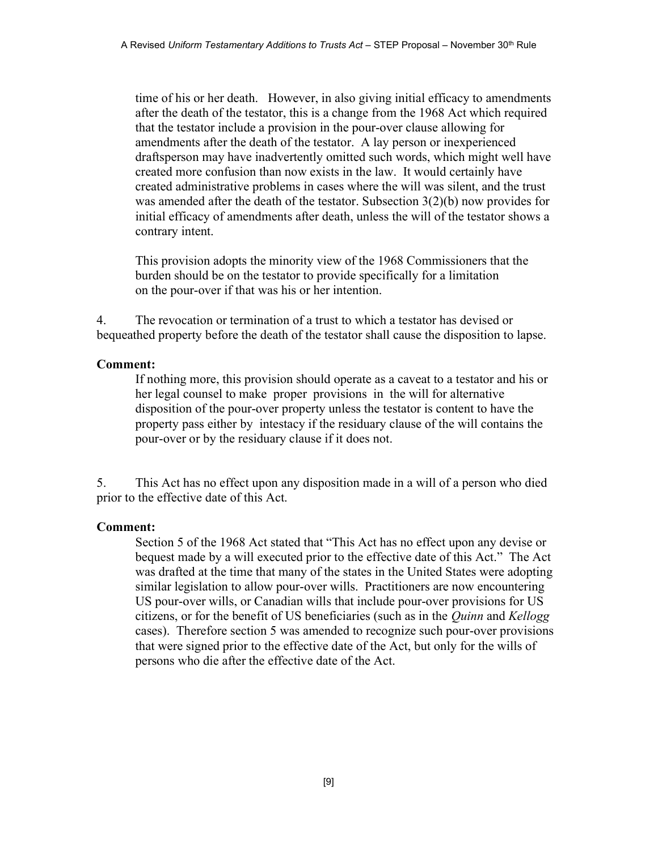time of his or her death. However, in also giving initial efficacy to amendments after the death of the testator, this is a change from the 1968 Act which required that the testator include a provision in the pour-over clause allowing for amendments after the death of the testator. A lay person or inexperienced draftsperson may have inadvertently omitted such words, which might well have created more confusion than now exists in the law. It would certainly have created administrative problems in cases where the will was silent, and the trust was amended after the death of the testator. Subsection 3(2)(b) now provides for initial efficacy of amendments after death, unless the will of the testator shows a contrary intent.

This provision adopts the minority view of the 1968 Commissioners that the burden should be on the testator to provide specifically for a limitation on the pour-over if that was his or her intention.

4. The revocation or termination of a trust to which a testator has devised or bequeathed property before the death of the testator shall cause the disposition to lapse.

### Comment:

If nothing more, this provision should operate as a caveat to a testator and his or her legal counsel to make proper provisions in the will for alternative disposition of the pour-over property unless the testator is content to have the property pass either by intestacy if the residuary clause of the will contains the pour-over or by the residuary clause if it does not.

5. This Act has no effect upon any disposition made in a will of a person who died prior to the effective date of this Act.

# Comment:

Section 5 of the 1968 Act stated that "This Act has no effect upon any devise or bequest made by a will executed prior to the effective date of this Act." The Act was drafted at the time that many of the states in the United States were adopting similar legislation to allow pour-over wills. Practitioners are now encountering US pour-over wills, or Canadian wills that include pour-over provisions for US citizens, or for the benefit of US beneficiaries (such as in the Quinn and Kellogg cases). Therefore section 5 was amended to recognize such pour-over provisions that were signed prior to the effective date of the Act, but only for the wills of persons who die after the effective date of the Act.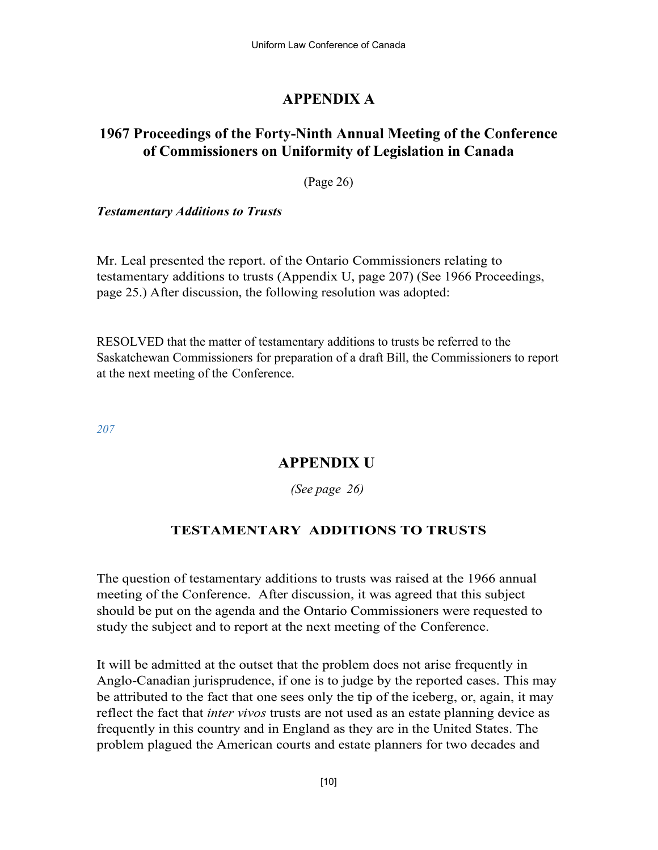# APPENDIX A

# 1967 Proceedings of the Forty-Ninth Annual Meeting of the Conference of Commissioners on Uniformity of Legislation in Canada

(Page 26)

Testamentary Additions to Trusts

Mr. Leal presented the report. of the Ontario Commissioners relating to testamentary additions to trusts (Appendix U, page 207) (See 1966 Proceedings, page 25.) After discussion, the following resolution was adopted:

RESOLVED that the matter of testamentary additions to trusts be referred to the Saskatchewan Commissioners for preparation of a draft Bill, the Commissioners to report at the next meeting of the Conference.

207

# APPENDIX U

(See page 26)

# TESTAMENTARY ADDITIONS TO TRUSTS

The question of testamentary additions to trusts was raised at the 1966 annual meeting of the Conference. After discussion, it was agreed that this subject should be put on the agenda and the Ontario Commissioners were requested to study the subject and to report at the next meeting of the Conference.

It will be admitted at the outset that the problem does not arise frequently in Anglo-Canadian jurisprudence, if one is to judge by the reported cases. This may be attributed to the fact that one sees only the tip of the iceberg, or, again, it may reflect the fact that *inter vivos* trusts are not used as an estate planning device as frequently in this country and in England as they are in the United States. The problem plagued the American courts and estate planners for two decades and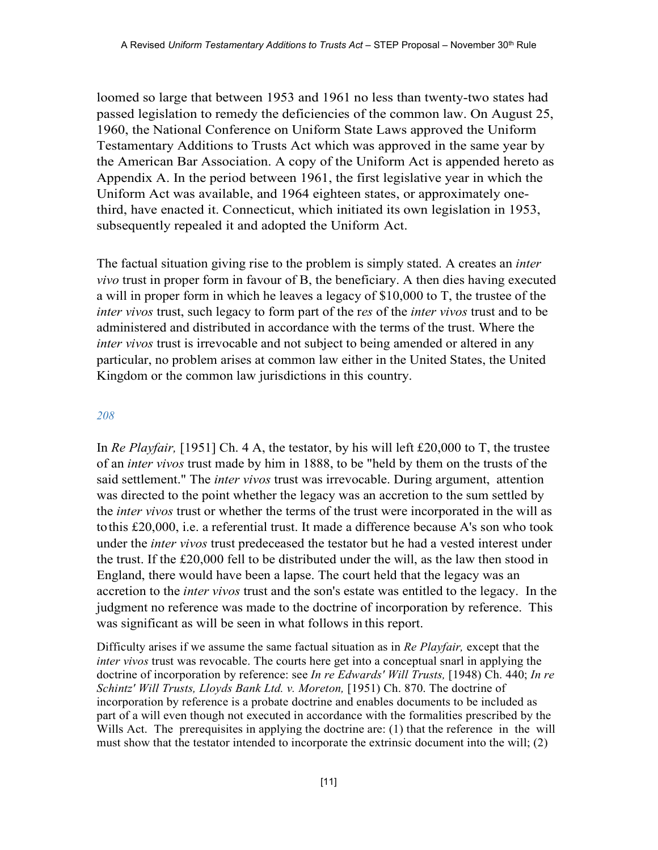loomed so large that between 1953 and 1961 no less than twenty-two states had passed legislation to remedy the deficiencies of the common law. On August 25, 1960, the National Conference on Uniform State Laws approved the Uniform Testamentary Additions to Trusts Act which was approved in the same year by the American Bar Association. A copy of the Uniform Act is appended hereto as Appendix A. In the period between 1961, the first legislative year in which the Uniform Act was available, and 1964 eighteen states, or approximately onethird, have enacted it. Connecticut, which initiated its own legislation in 1953, subsequently repealed it and adopted the Uniform Act.

The factual situation giving rise to the problem is simply stated. A creates an *inter* vivo trust in proper form in favour of B, the beneficiary. A then dies having executed a will in proper form in which he leaves a legacy of \$10,000 to T, the trustee of the inter vivos trust, such legacy to form part of the res of the *inter vivos* trust and to be administered and distributed in accordance with the terms of the trust. Where the inter vivos trust is irrevocable and not subject to being amended or altered in any particular, no problem arises at common law either in the United States, the United Kingdom or the common law jurisdictions in this country.

#### 208

In Re Playfair, [1951] Ch. 4 A, the testator, by his will left £20,000 to T, the trustee of an inter vivos trust made by him in 1888, to be "held by them on the trusts of the said settlement." The *inter vivos* trust was irrevocable. During argument, attention was directed to the point whether the legacy was an accretion to the sum settled by the *inter vivos* trust or whether the terms of the trust were incorporated in the will as to this £20,000, i.e. a referential trust. It made a difference because A's son who took under the *inter vivos* trust predeceased the testator but he had a vested interest under the trust. If the £20,000 fell to be distributed under the will, as the law then stood in England, there would have been a lapse. The court held that the legacy was an accretion to the inter vivos trust and the son's estate was entitled to the legacy. In the judgment no reference was made to the doctrine of incorporation by reference. This was significant as will be seen in what follows in this report.

Difficulty arises if we assume the same factual situation as in Re Playfair, except that the inter vivos trust was revocable. The courts here get into a conceptual snarl in applying the doctrine of incorporation by reference: see In re Edwards' Will Trusts, [1948) Ch. 440; In re Schintz' Will Trusts, Lloyds Bank Ltd. v. Moreton, [1951) Ch. 870. The doctrine of incorporation by reference is a probate doctrine and enables documents to be included as part of a will even though not executed in accordance with the formalities prescribed by the Wills Act. The prerequisites in applying the doctrine are: (1) that the reference in the will must show that the testator intended to incorporate the extrinsic document into the will; (2)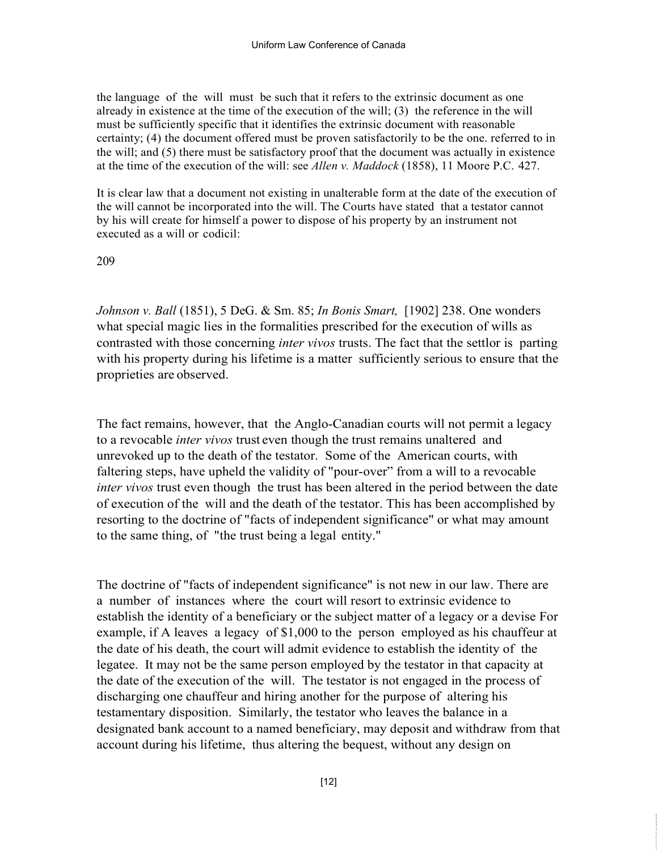the language of the will must be such that it refers to the extrinsic document as one already in existence at the time of the execution of the will; (3) the reference in the will must be sufficiently specific that it identifies the extrinsic document with reasonable certainty; (4) the document offered must be proven satisfactorily to be the one. referred to in the will; and (5) there must be satisfactory proof that the document was actually in existence at the time of the execution of the will: see Allen v. Maddock (1858), 11 Moore P.C. 427.

It is clear law that a document not existing in unalterable form at the date of the execution of the will cannot be incorporated into the will. The Courts have stated that a testator cannot by his will create for himself a power to dispose of his property by an instrument not executed as a will or codicil:

#### 209

Johnson v. Ball (1851), 5 DeG. & Sm. 85; In Bonis Smart, [1902] 238. One wonders what special magic lies in the formalities prescribed for the execution of wills as contrasted with those concerning *inter vivos* trusts. The fact that the settlor is parting with his property during his lifetime is a matter sufficiently serious to ensure that the proprieties are observed.

The fact remains, however, that the Anglo-Canadian courts will not permit a legacy to a revocable *inter vivos* trust even though the trust remains unaltered and unrevoked up to the death of the testator. Some of the American courts, with faltering steps, have upheld the validity of "pour-over" from a will to a revocable inter vivos trust even though the trust has been altered in the period between the date of execution of the will and the death of the testator. This has been accomplished by resorting to the doctrine of "facts of independent significance" or what may amount to the same thing, of "the trust being a legal entity."

The doctrine of "facts of independent significance" is not new in our law. There are a number of instances where the court will resort to extrinsic evidence to establish the identity of a beneficiary or the subject matter of a legacy or a devise For example, if A leaves a legacy of \$1,000 to the person employed as his chauffeur at the date of his death, the court will admit evidence to establish the identity of the legatee. It may not be the same person employed by the testator in that capacity at the date of the execution of the will. The testator is not engaged in the process of discharging one chauffeur and hiring another for the purpose of altering his testamentary disposition. Similarly, the testator who leaves the balance in a designated bank account to a named beneficiary, may deposit and withdraw from that account during his lifetime, thus altering the bequest, without any design on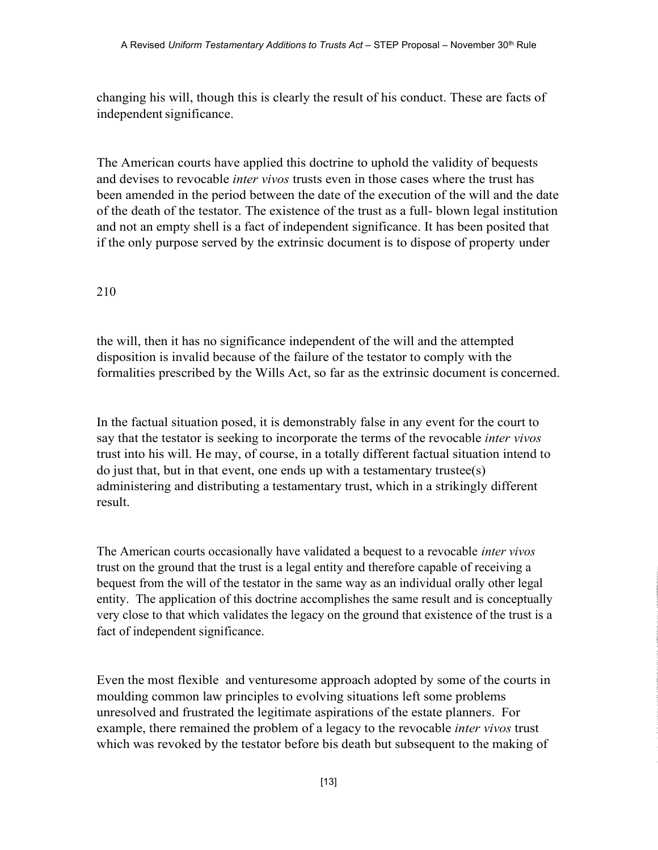changing his will, though this is clearly the result of his conduct. These are facts of independent significance.

The American courts have applied this doctrine to uphold the validity of bequests and devises to revocable *inter vivos* trusts even in those cases where the trust has been amended in the period between the date of the execution of the will and the date of the death of the testator. The existence of the trust as a full- blown legal institution and not an empty shell is a fact of independent significance. It has been posited that if the only purpose served by the extrinsic document is to dispose of property under

### 210

the will, then it has no significance independent of the will and the attempted disposition is invalid because of the failure of the testator to comply with the formalities prescribed by the Wills Act, so far as the extrinsic document is concerned.

In the factual situation posed, it is demonstrably false in any event for the court to say that the testator is seeking to incorporate the terms of the revocable *inter vivos* trust into his will. He may, of course, in a totally different factual situation intend to do just that, but in that event, one ends up with a testamentary trustee(s) administering and distributing a testamentary trust, which in a strikingly different result.

The American courts occasionally have validated a bequest to a revocable *inter vivos* trust on the ground that the trust is a legal entity and therefore capable of receiving a bequest from the will of the testator in the same way as an individual orally other legal entity. The application of this doctrine accomplishes the same result and is conceptually very close to that which validates the legacy on the ground that existence of the trust is a fact of independent significance.

Even the most flexible and venturesome approach adopted by some of the courts in moulding common law principles to evolving situations left some problems unresolved and frustrated the legitimate aspirations of the estate planners. For example, there remained the problem of a legacy to the revocable *inter vivos* trust which was revoked by the testator before bis death but subsequent to the making of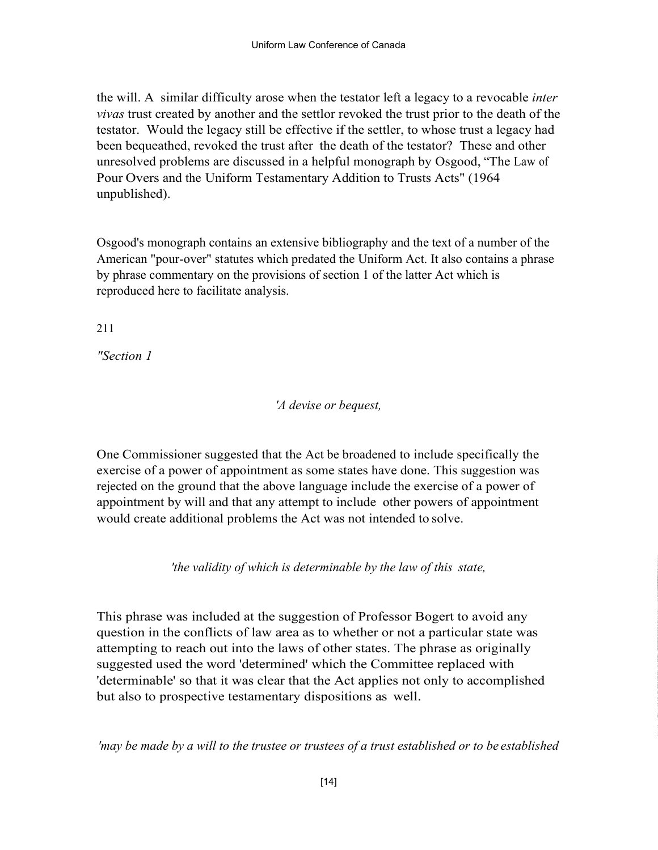the will. A similar difficulty arose when the testator left a legacy to a revocable *inter* vivas trust created by another and the settlor revoked the trust prior to the death of the testator. Would the legacy still be effective if the settler, to whose trust a legacy had been bequeathed, revoked the trust after the death of the testator? These and other unresolved problems are discussed in a helpful monograph by Osgood, "The Law of Pour Overs and the Uniform Testamentary Addition to Trusts Acts" (1964 unpublished).

Osgood's monograph contains an extensive bibliography and the text of a number of the American "pour-over" statutes which predated the Uniform Act. It also contains a phrase by phrase commentary on the provisions of section 1 of the latter Act which is reproduced here to facilitate analysis.

211

"Section 1

'A devise or bequest,

One Commissioner suggested that the Act be broadened to include specifically the exercise of a power of appointment as some states have done. This suggestion was rejected on the ground that the above language include the exercise of a power of appointment by will and that any attempt to include other powers of appointment would create additional problems the Act was not intended to solve.

'the validity of which is determinable by the law of this state,

This phrase was included at the suggestion of Professor Bogert to avoid any question in the conflicts of law area as to whether or not a particular state was attempting to reach out into the laws of other states. The phrase as originally suggested used the word 'determined' which the Committee replaced with 'determinable' so that it was clear that the Act applies not only to accomplished but also to prospective testamentary dispositions as well.

'may be made by a will to the trustee or trustees of a trust established or to be established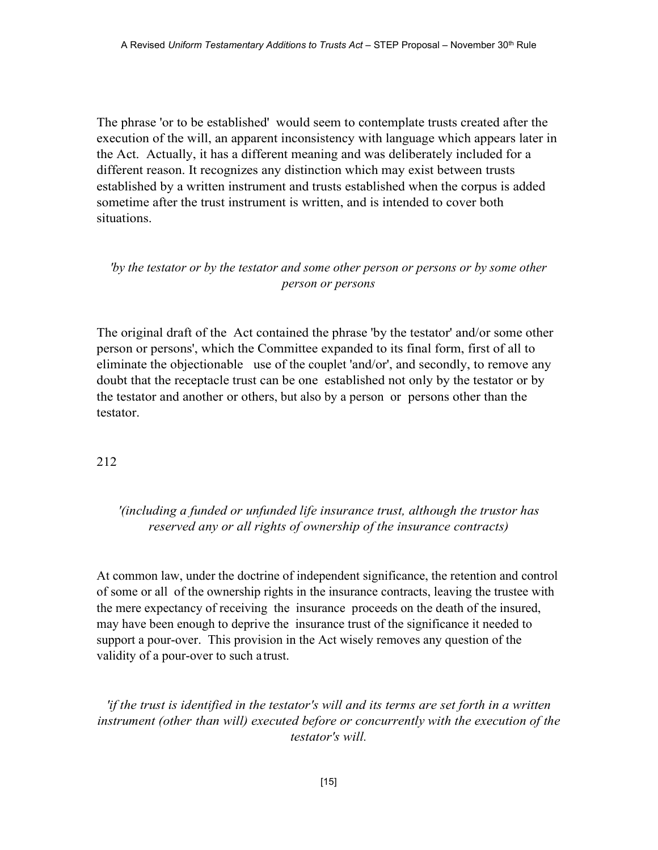The phrase 'or to be established' would seem to contemplate trusts created after the execution of the will, an apparent inconsistency with language which appears later in the Act. Actually, it has a different meaning and was deliberately included for a different reason. It recognizes any distinction which may exist between trusts established by a written instrument and trusts established when the corpus is added sometime after the trust instrument is written, and is intended to cover both situations.

### 'by the testator or by the testator and some other person or persons or by some other person or persons

The original draft of the Act contained the phrase 'by the testator' and/or some other person or persons', which the Committee expanded to its final form, first of all to eliminate the objectionable use of the couplet 'and/or', and secondly, to remove any doubt that the receptacle trust can be one established not only by the testator or by the testator and another or others, but also by a person or persons other than the testator.

#### 212

# '(including a funded or unfunded life insurance trust, although the trustor has reserved any or all rights of ownership of the insurance contracts)

At common law, under the doctrine of independent significance, the retention and control of some or all of the ownership rights in the insurance contracts, leaving the trustee with the mere expectancy of receiving the insurance proceeds on the death of the insured, may have been enough to deprive the insurance trust of the significance it needed to support a pour-over. This provision in the Act wisely removes any question of the validity of a pour-over to such a trust.

'if the trust is identified in the testator's will and its terms are set forth in a written instrument (other than will) executed before or concurrently with the execution of the testator's will.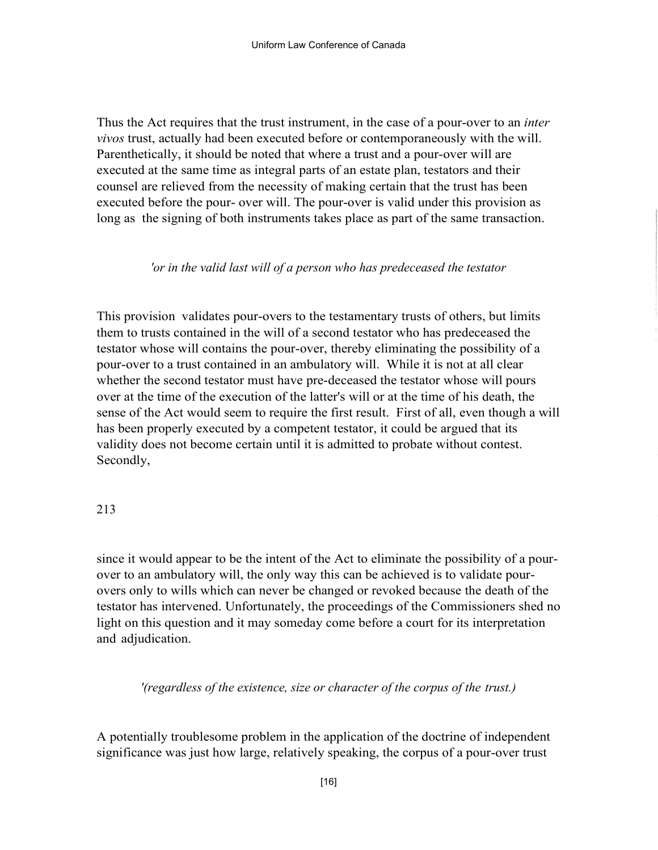Thus the Act requires that the trust instrument, in the case of a pour-over to an *inter* vivos trust, actually had been executed before or contemporaneously with the will. Parenthetically, it should be noted that where a trust and a pour-over will are executed at the same time as integral parts of an estate plan, testators and their counsel are relieved from the necessity of making certain that the trust has been executed before the pour- over will. The pour-over is valid under this provision as long as the signing of both instruments takes place as part of the same transaction.

#### 'or in the valid last will of a person who has predeceased the testator

This provision validates pour-overs to the testamentary trusts of others, but limits them to trusts contained in the will of a second testator who has predeceased the testator whose will contains the pour-over, thereby eliminating the possibility of a pour-over to a trust contained in an ambulatory will. While it is not at all clear whether the second testator must have pre-deceased the testator whose will pours over at the time of the execution of the latter's will or at the time of his death, the sense of the Act would seem to require the first result. First of all, even though a will has been properly executed by a competent testator, it could be argued that its validity does not become certain until it is admitted to probate without contest. Secondly,

#### 213

since it would appear to be the intent of the Act to eliminate the possibility of a pourover to an ambulatory will, the only way this can be achieved is to validate pourovers only to wills which can never be changed or revoked because the death of the testator has intervened. Unfortunately, the proceedings of the Commissioners shed no light on this question and it may someday come before a court for its interpretation and adjudication.

'(regardless of the existence, size or character of the corpus of the trust.)

A potentially troublesome problem in the application of the doctrine of independent significance was just how large, relatively speaking, the corpus of a pour-over trust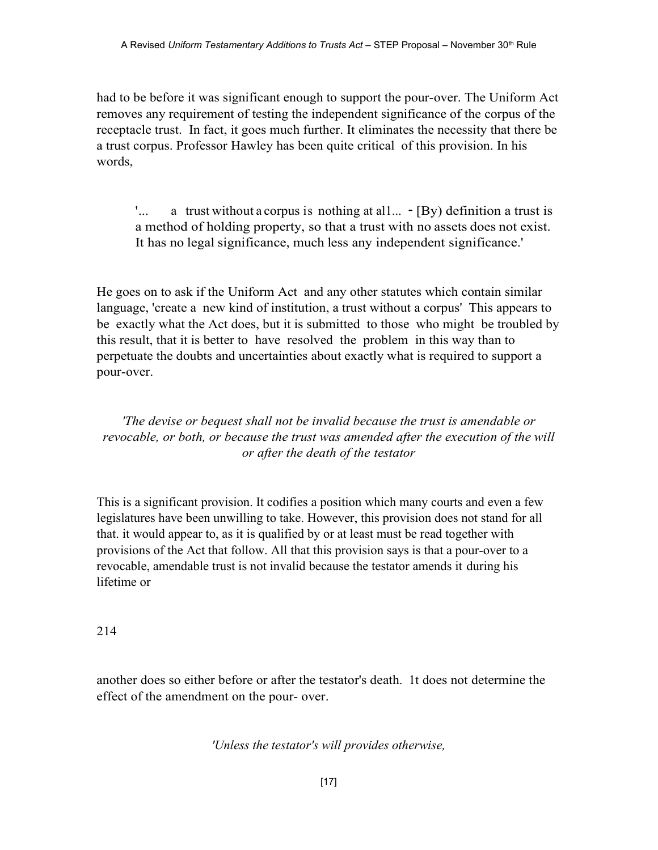had to be before it was significant enough to support the pour-over. The Uniform Act removes any requirement of testing the independent significance of the corpus of the receptacle trust. In fact, it goes much further. It eliminates the necessity that there be a trust corpus. Professor Hawley has been quite critical of this provision. In his words,

 $'...$  a trust without a corpus is nothing at all...  $\sim$  [By) definition a trust is a method of holding property, so that a trust with no assets does not exist. It has no legal significance, much less any independent significance.'

He goes on to ask if the Uniform Act and any other statutes which contain similar language, 'create a new kind of institution, a trust without a corpus' This appears to be exactly what the Act does, but it is submitted to those who might be troubled by this result, that it is better to have resolved the problem in this way than to perpetuate the doubts and uncertainties about exactly what is required to support a pour-over.

'The devise or bequest shall not be invalid because the trust is amendable or revocable, or both, or because the trust was amended after the execution of the will or after the death of the testator

This is a significant provision. It codifies a position which many courts and even a few legislatures have been unwilling to take. However, this provision does not stand for all that. it would appear to, as it is qualified by or at least must be read together with provisions of the Act that follow. All that this provision says is that a pour-over to a revocable, amendable trust is not invalid because the testator amends it during his lifetime or

214

another does so either before or after the testator's death. 1t does not determine the effect of the amendment on the pour- over.

'Unless the testator's will provides otherwise,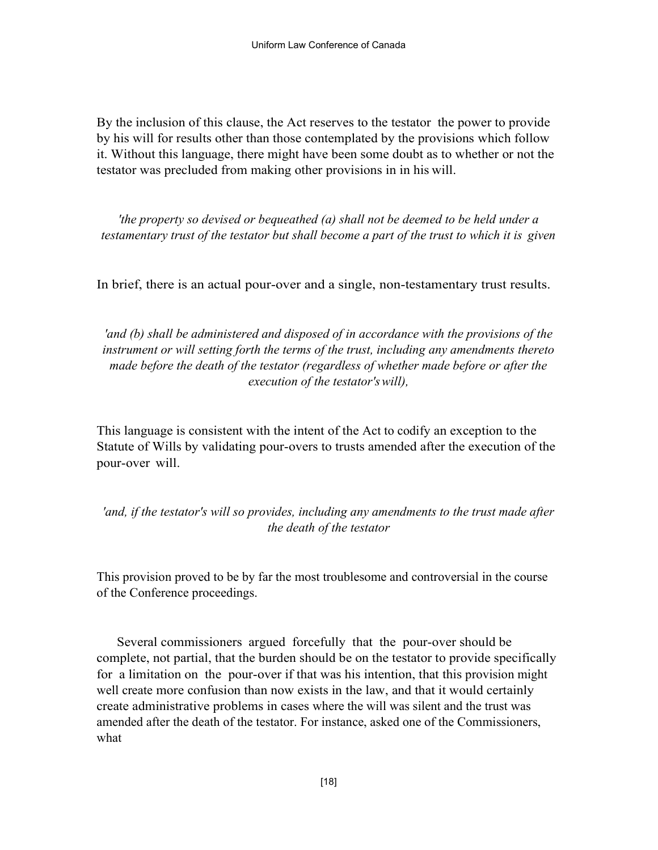By the inclusion of this clause, the Act reserves to the testator the power to provide by his will for results other than those contemplated by the provisions which follow it. Without this language, there might have been some doubt as to whether or not the testator was precluded from making other provisions in in his will.

'the property so devised or bequeathed (a) shall not be deemed to be held under a testamentary trust of the testator but shall become a part of the trust to which it is given

In brief, there is an actual pour-over and a single, non-testamentary trust results.

'and (b) shall be administered and disposed of in accordance with the provisions of the instrument or will setting forth the terms of the trust, including any amendments thereto made before the death of the testator (regardless of whether made before or after the execution of the testator's will),

This language is consistent with the intent of the Act to codify an exception to the Statute of Wills by validating pour-overs to trusts amended after the execution of the pour-over will.

'and, if the testator's will so provides, including any amendments to the trust made after the death of the testator

This provision proved to be by far the most troublesome and controversial in the course of the Conference proceedings.

 Several commissioners argued forcefully that the pour-over should be complete, not partial, that the burden should be on the testator to provide specifically for a limitation on the pour-over if that was his intention, that this provision might well create more confusion than now exists in the law, and that it would certainly create administrative problems in cases where the will was silent and the trust was amended after the death of the testator. For instance, asked one of the Commissioners, what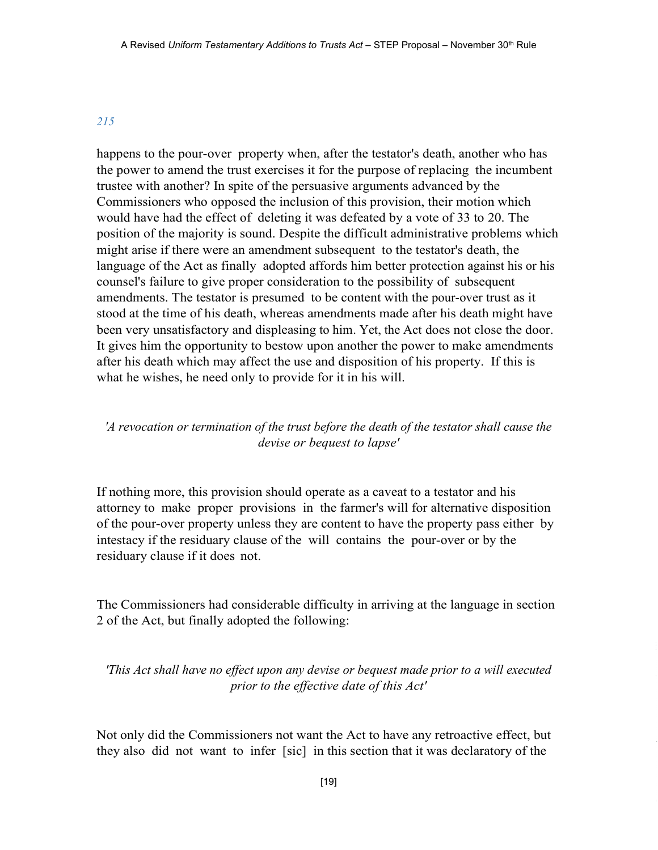#### 215

happens to the pour-over property when, after the testator's death, another who has the power to amend the trust exercises it for the purpose of replacing the incumbent trustee with another? In spite of the persuasive arguments advanced by the Commissioners who opposed the inclusion of this provision, their motion which would have had the effect of deleting it was defeated by a vote of 33 to 20. The position of the majority is sound. Despite the difficult administrative problems which might arise if there were an amendment subsequent to the testator's death, the language of the Act as finally adopted affords him better protection against his or his counsel's failure to give proper consideration to the possibility of subsequent amendments. The testator is presumed to be content with the pour-over trust as it stood at the time of his death, whereas amendments made after his death might have been very unsatisfactory and displeasing to him. Yet, the Act does not close the door. It gives him the opportunity to bestow upon another the power to make amendments after his death which may affect the use and disposition of his property. If this is what he wishes, he need only to provide for it in his will.

# 'A revocation or termination of the trust before the death of the testator shall cause the devise or bequest to lapse'

If nothing more, this provision should operate as a caveat to a testator and his attorney to make proper provisions in the farmer's will for alternative disposition of the pour-over property unless they are content to have the property pass either by intestacy if the residuary clause of the will contains the pour-over or by the residuary clause if it does not.

The Commissioners had considerable difficulty in arriving at the language in section 2 of the Act, but finally adopted the following:

'This Act shall have no effect upon any devise or bequest made prior to a will executed prior to the effective date of this Act'

Not only did the Commissioners not want the Act to have any retroactive effect, but they also did not want to infer [sic] in this section that it was declaratory of the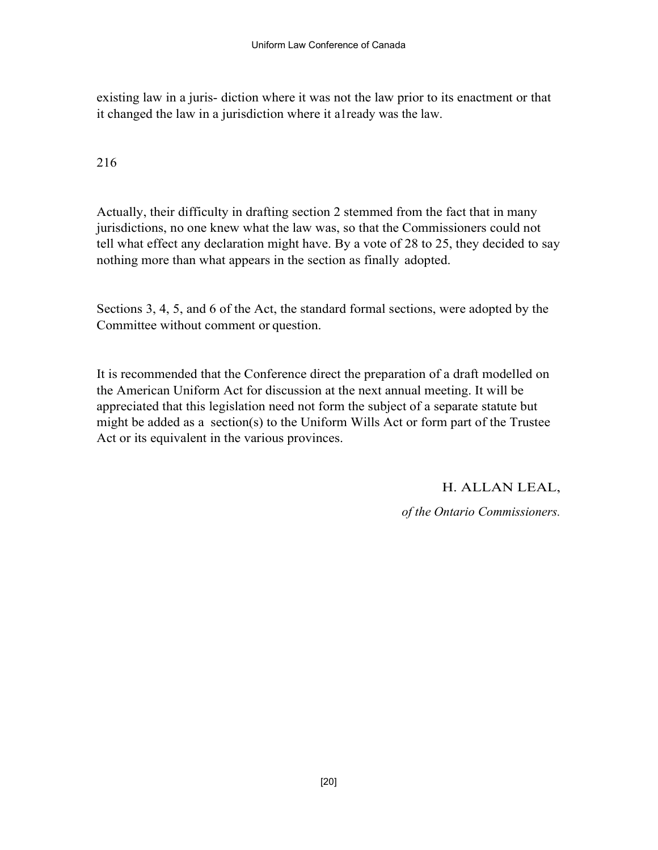existing law in a juris- diction where it was not the law prior to its enactment or that it changed the law in a jurisdiction where it a1ready was the law.

216

Actually, their difficulty in drafting section 2 stemmed from the fact that in many jurisdictions, no one knew what the law was, so that the Commissioners could not tell what effect any declaration might have. By a vote of 28 to 25, they decided to say nothing more than what appears in the section as finally adopted.

Sections 3, 4, 5, and 6 of the Act, the standard formal sections, were adopted by the Committee without comment or question.

It is recommended that the Conference direct the preparation of a draft modelled on the American Uniform Act for discussion at the next annual meeting. It will be appreciated that this legislation need not form the subject of a separate statute but might be added as a section(s) to the Uniform Wills Act or form part of the Trustee Act or its equivalent in the various provinces.

H. ALLAN LEAL,

of the Ontario Commissioners.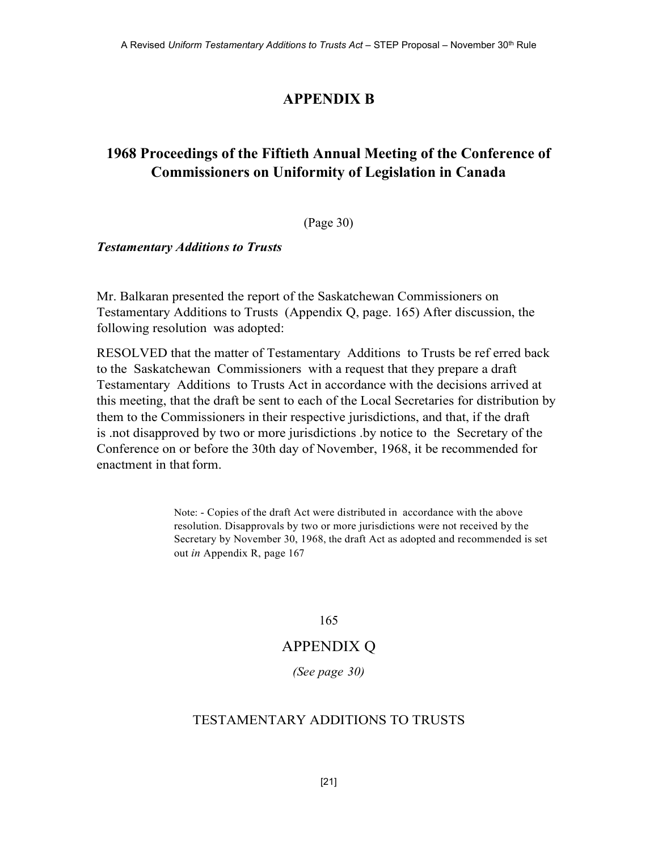# APPENDIX B

# 1968 Proceedings of the Fiftieth Annual Meeting of the Conference of Commissioners on Uniformity of Legislation in Canada

(Page 30)

Testamentary Additions to Trusts

Mr. Balkaran presented the report of the Saskatchewan Commissioners on Testamentary Additions to Trusts (Appendix Q, page. 165) After discussion, the following resolution was adopted:

RESOLVED that the matter of Testamentary Additions to Trusts be ref erred back to the Saskatchewan Commissioners with a request that they prepare a draft Testamentary Additions to Trusts Act in accordance with the decisions arrived at this meeting, that the draft be sent to each of the Local Secretaries for distribution by them to the Commissioners in their respective jurisdictions, and that, if the draft is .not disapproved by two or more jurisdictions .by notice to the Secretary of the Conference on or before the 30th day of November, 1968, it be recommended for enactment in that form.

> Note: - Copies of the draft Act were distributed in accordance with the above resolution. Disapprovals by two or more jurisdictions were not received by the Secretary by November 30, 1968, the draft Act as adopted and recommended is set out in Appendix R, page 167

> > 165

# APPENDIX Q

(See page 30)

# TESTAMENTARY ADDITIONS TO TRUSTS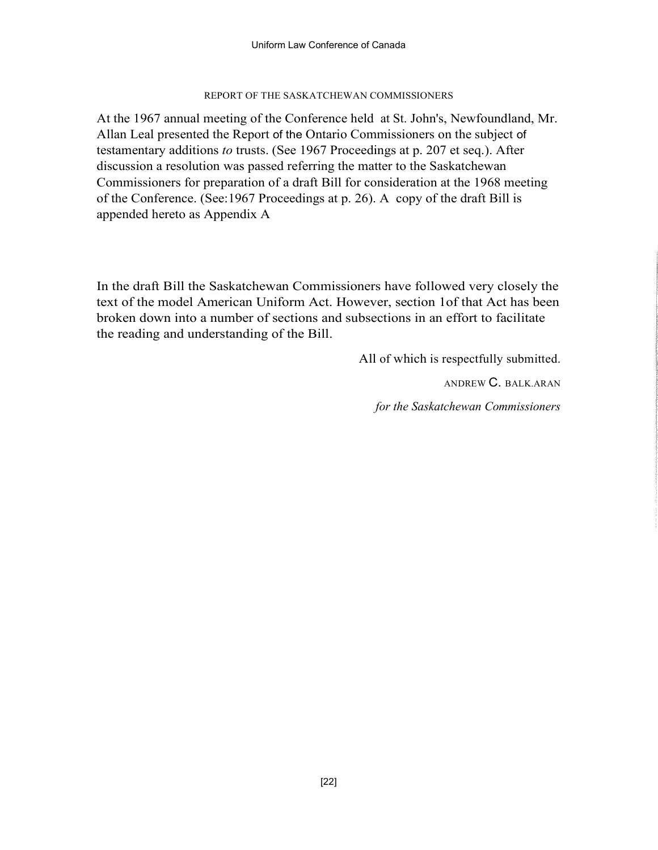#### REPORT OF THE SASKATCHEWAN COMMISSIONERS

At the 1967 annual meeting of the Conference held at St. John's, Newfoundland, Mr. Allan Leal presented the Report of the Ontario Commissioners on the subject of testamentary additions to trusts. (See 1967 Proceedings at p. 207 et seq.). After discussion a resolution was passed referring the matter to the Saskatchewan Commissioners for preparation of a draft Bill for consideration at the 1968 meeting of the Conference. (See:1967 Proceedings at p. 26). A copy of the draft Bill is appended hereto as Appendix A

In the draft Bill the Saskatchewan Commissioners have followed very closely the text of the model American Uniform Act. However, section 1of that Act has been broken down into a number of sections and subsections in an effort to facilitate the reading and understanding of the Bill.

All of which is respectfully submitted.

ANDREW C. BALK.ARAN

for the Saskatchewan Commissioners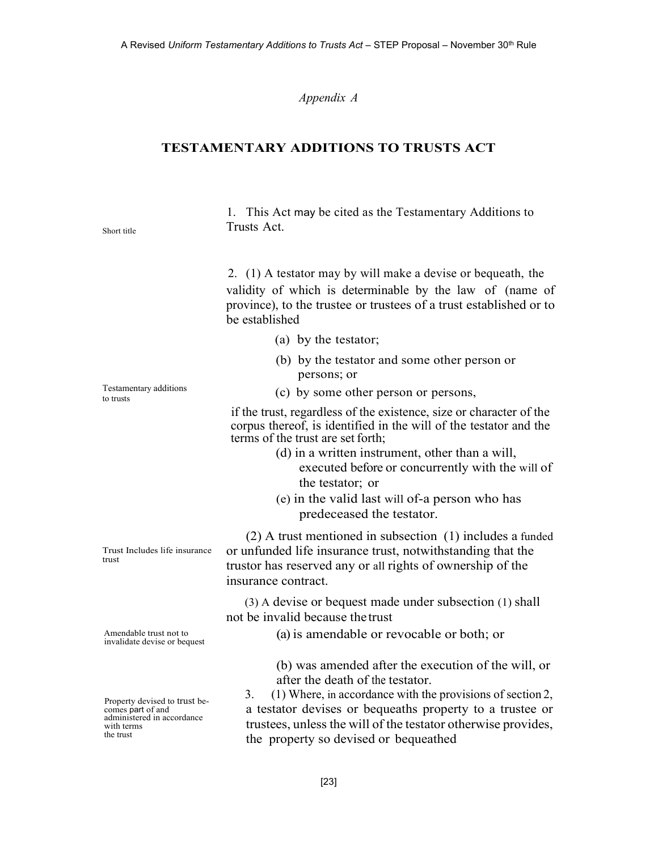#### Appendix A

#### TESTAMENTARY ADDITIONS TO TRUSTS ACT

1. This Act may be cited as the Testamentary Additions to Trusts Act.

2. (1) A testator may by will make a devise or bequeath, the validity of which is determinable by the law of (name of province), to the trustee or trustees of a trust established or to be established

- (a) by the testator;
- (b) by the testator and some other person or persons; or
- (c) by some other person or persons,

if the trust, regardless of the existence, size or character of the corpus thereof, is identified in the will of the testator and the terms of the trust are set forth;

- (d) in a written instrument, other than a will, executed before or concurrently with the will of the testator; or
- (e) in the valid last will of-a person who has predeceased the testator.

(2) A trust mentioned in subsection (1) includes a funded or unfunded life insurance trust, notwithstanding that the trustor has reserved any or all rights of ownership of the insurance contract.

(3) A devise or bequest made under subsection (1) shall not be invalid because the trust

(a) is amendable or revocable or both; or

(b) was amended after the execution of the will, or after the death of the testator.

 $(1)$  Where, in accordance with the provisions of section 2, a testator devises or bequeaths property to a trustee or trustees, unless the will of the testator otherwise provides, the property so devised or bequeathed

Testamentary additions to trusts

Short title

Trust Includes life insurance

trust

Amendable trust not to invalidate devise or bequest

Property devised to trust be-<br>
comes part of and  $\begin{array}{c} 3. \\ a \end{array}$ administered in accordance with terms the trust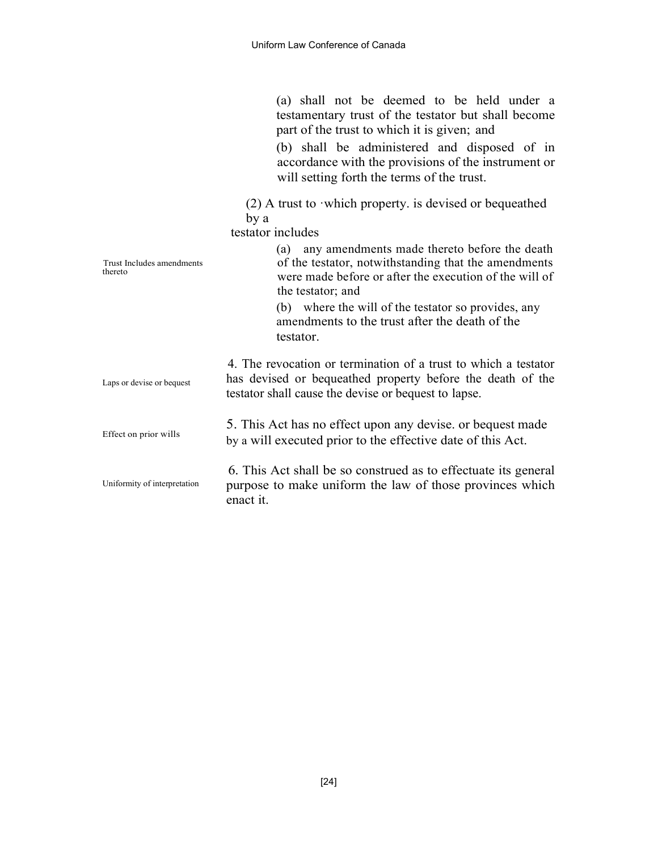(a) shall not be deemed to be held under a testamentary trust of the testator but shall become part of the trust to which it is given; and

(b) shall be administered and disposed of in accordance with the provisions of the instrument or will setting forth the terms of the trust.

(2) A trust to ·which property. is devised or bequeathed by a

testator includes

| Trust Includes amendments<br>thereto | any amendments made thereto before the death<br>(a)<br>of the testator, notwithstanding that the amendments<br>were made before or after the execution of the will of<br>the testator; and<br>(b) where the will of the testator so provides, any<br>amendments to the trust after the death of the<br>testator. |
|--------------------------------------|------------------------------------------------------------------------------------------------------------------------------------------------------------------------------------------------------------------------------------------------------------------------------------------------------------------|
| Laps or devise or bequest            | 4. The revocation or termination of a trust to which a testator<br>has devised or bequeathed property before the death of the<br>testator shall cause the devise or bequest to lapse.                                                                                                                            |
| Effect on prior wills                | 5. This Act has no effect upon any devise, or bequest made<br>by a will executed prior to the effective date of this Act.                                                                                                                                                                                        |
| Uniformity of interpretation         | 6. This Act shall be so construed as to effectuate its general<br>purpose to make uniform the law of those provinces which<br>enact it.                                                                                                                                                                          |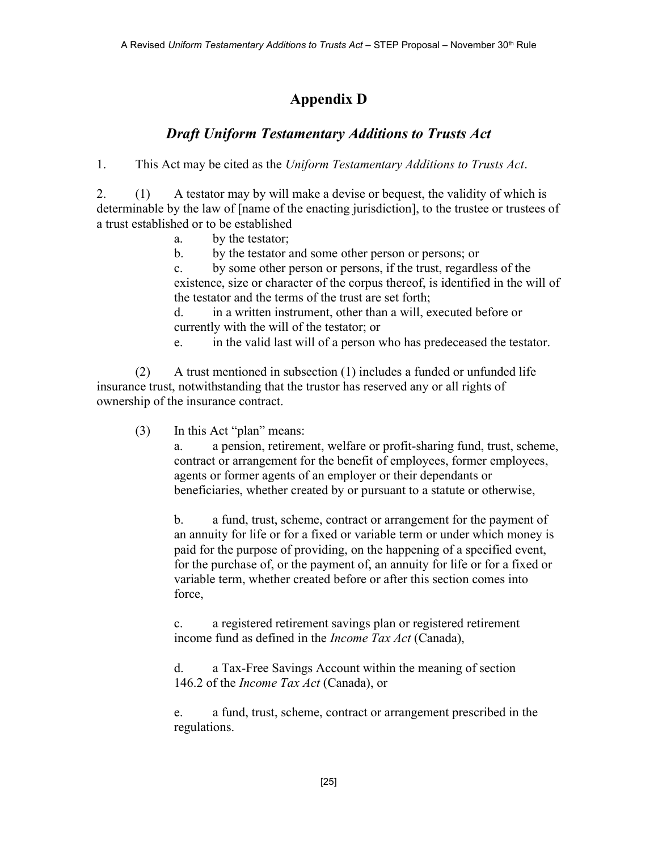# Appendix D

# Draft Uniform Testamentary Additions to Trusts Act

1. This Act may be cited as the Uniform Testamentary Additions to Trusts Act.

2. (1) A testator may by will make a devise or bequest, the validity of which is determinable by the law of [name of the enacting jurisdiction], to the trustee or trustees of a trust established or to be established

a. by the testator;

b. by the testator and some other person or persons; or

c. by some other person or persons, if the trust, regardless of the existence, size or character of the corpus thereof, is identified in the will of the testator and the terms of the trust are set forth;

d. in a written instrument, other than a will, executed before or currently with the will of the testator; or

e. in the valid last will of a person who has predeceased the testator.

(2) A trust mentioned in subsection (1) includes a funded or unfunded life insurance trust, notwithstanding that the trustor has reserved any or all rights of ownership of the insurance contract.

(3) In this Act "plan" means:

a. a pension, retirement, welfare or profit-sharing fund, trust, scheme, contract or arrangement for the benefit of employees, former employees, agents or former agents of an employer or their dependants or beneficiaries, whether created by or pursuant to a statute or otherwise,

b. a fund, trust, scheme, contract or arrangement for the payment of an annuity for life or for a fixed or variable term or under which money is paid for the purpose of providing, on the happening of a specified event, for the purchase of, or the payment of, an annuity for life or for a fixed or variable term, whether created before or after this section comes into force,

c. a registered retirement savings plan or registered retirement income fund as defined in the *Income Tax Act* (Canada),

d. a Tax-Free Savings Account within the meaning of section 146.2 of the *Income Tax Act* (Canada), or

e. a fund, trust, scheme, contract or arrangement prescribed in the regulations.